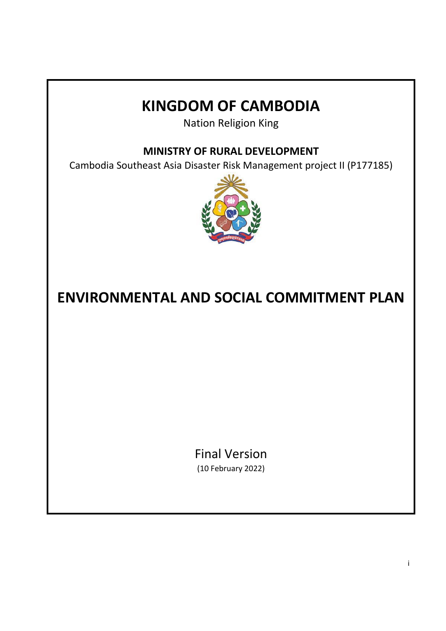# **KINGDOM OF CAMBODIA**

Nation Religion King

**MINISTRY OF RURAL DEVELOPMENT**

Cambodia Southeast Asia Disaster Risk Management project II (P177185)



# **ENVIRONMENTAL AND SOCIAL COMMITMENT PLAN**

Final Version (10 February 2022)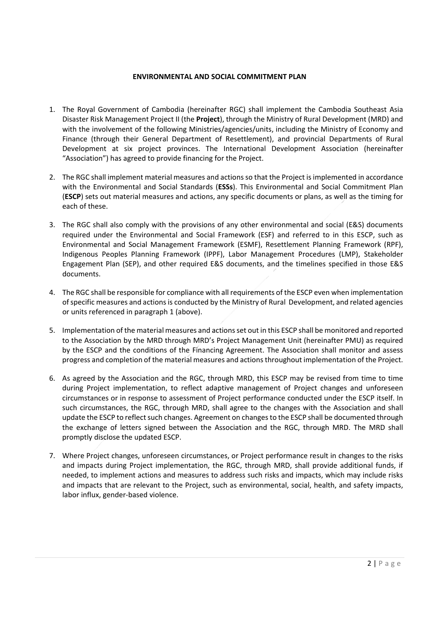# **ENVIRONMENTAL AND SOCIAL COMMITMENT PLAN**

- 1. The Royal Government of Cambodia (hereinafter RGC) shall implement the Cambodia Southeast Asia Disaster Risk Management Project II (the **Project**), through the Ministry of Rural Development (MRD) and with the involvement of the following Ministries/agencies/units, including the Ministry of Economy and Finance (through their General Department of Resettlement), and provincial Departments of Rural Development at six project provinces. The International Development Association (hereinafter "Association") has agreed to provide financing for the Project.
- 2. The RGC shall implement material measures and actions so that the Project is implemented in accordance with the Environmental and Social Standards (**ESSs**). This Environmental and Social Commitment Plan (**ESCP**) sets out material measures and actions, any specific documents or plans, as well as the timing for each of these.
- 3. The RGC shall also comply with the provisions of any other environmental and social (E&S) documents required under the Environmental and Social Framework (ESF) and referred to in this ESCP, such as Environmental and Social Management Framework (ESMF), Resettlement Planning Framework (RPF), Indigenous Peoples Planning Framework (IPPF), Labor Management Procedures (LMP), Stakeholder Engagement Plan (SEP), and other required E&S documents, and the timelines specified in those E&S documents.
- 4. The RGC shall be responsible for compliance with all requirements of the ESCP even when implementation of specific measures and actions is conducted by the Ministry of Rural Development, and related agencies or units referenced in paragraph 1 (above).
- 5. Implementation of the material measures and actions set out in this ESCP shall be monitored and reported to the Association by the MRD through MRD's Project Management Unit (hereinafter PMU) as required by the ESCP and the conditions of the Financing Agreement. The Association shall monitor and assess progress and completion of the material measures and actions throughout implementation of the Project.
- 6. As agreed by the Association and the RGC, through MRD, this ESCP may be revised from time to time during Project implementation, to reflect adaptive management of Project changes and unforeseen circumstances or in response to assessment of Project performance conducted under the ESCP itself. In such circumstances, the RGC, through MRD, shall agree to the changes with the Association and shall update the ESCP to reflect such changes. Agreement on changes to the ESCP shall be documented through the exchange of letters signed between the Association and the RGC, through MRD. The MRD shall promptly disclose the updated ESCP.
- 7. Where Project changes, unforeseen circumstances, or Project performance result in changes to the risks and impacts during Project implementation, the RGC, through MRD, shall provide additional funds, if needed, to implement actions and measures to address such risks and impacts, which may include risks and impacts that are relevant to the Project, such as environmental, social, health, and safety impacts, labor influx, gender‐based violence.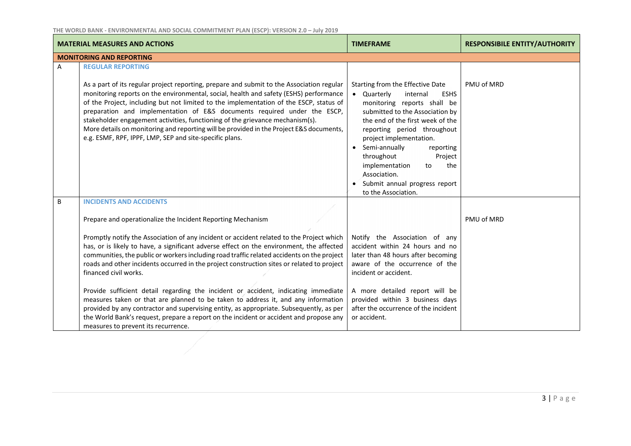|   | <b>MATERIAL MEASURES AND ACTIONS</b>                                                                                                                                                                                                                                                                                                                                                                      | <b>TIMEFRAME</b>                                                                                                                                                                                                                                                      | <b>RESPONSIBILE ENTITY/AUTHORITY</b> |
|---|-----------------------------------------------------------------------------------------------------------------------------------------------------------------------------------------------------------------------------------------------------------------------------------------------------------------------------------------------------------------------------------------------------------|-----------------------------------------------------------------------------------------------------------------------------------------------------------------------------------------------------------------------------------------------------------------------|--------------------------------------|
|   | <b>MONITORING AND REPORTING</b>                                                                                                                                                                                                                                                                                                                                                                           |                                                                                                                                                                                                                                                                       |                                      |
| A | <b>REGULAR REPORTING</b><br>As a part of its regular project reporting, prepare and submit to the Association regular<br>monitoring reports on the environmental, social, health and safety (ESHS) performance<br>of the Project, including but not limited to the implementation of the ESCP, status of<br>preparation and implementation of E&S documents required under the ESCP,                      | Starting from the Effective Date<br>• Quarterly<br>internal<br><b>ESHS</b><br>monitoring reports shall be<br>submitted to the Association by                                                                                                                          | PMU of MRD                           |
|   | stakeholder engagement activities, functioning of the grievance mechanism(s).<br>More details on monitoring and reporting will be provided in the Project E&S documents,<br>e.g. ESMF, RPF, IPPF, LMP, SEP and site-specific plans.                                                                                                                                                                       | the end of the first week of the<br>reporting period throughout<br>project implementation.<br>Semi-annually<br>reporting<br>$\bullet$<br>throughout<br>Project<br>implementation<br>the<br>to<br>Association.<br>Submit annual progress report<br>to the Association. |                                      |
| B | <b>INCIDENTS AND ACCIDENTS</b>                                                                                                                                                                                                                                                                                                                                                                            |                                                                                                                                                                                                                                                                       |                                      |
|   | Prepare and operationalize the Incident Reporting Mechanism                                                                                                                                                                                                                                                                                                                                               |                                                                                                                                                                                                                                                                       | PMU of MRD                           |
|   | Promptly notify the Association of any incident or accident related to the Project which<br>has, or is likely to have, a significant adverse effect on the environment, the affected<br>communities, the public or workers including road traffic related accidents on the project<br>roads and other incidents occurred in the project construction sites or related to project<br>financed civil works. | Notify the Association of any<br>accident within 24 hours and no<br>later than 48 hours after becoming<br>aware of the occurrence of the<br>incident or accident.                                                                                                     |                                      |
|   | Provide sufficient detail regarding the incident or accident, indicating immediate<br>measures taken or that are planned to be taken to address it, and any information<br>provided by any contractor and supervising entity, as appropriate. Subsequently, as per<br>the World Bank's request, prepare a report on the incident or accident and propose any<br>measures to prevent its recurrence.       | A more detailed report will be<br>provided within 3 business days<br>after the occurrence of the incident<br>or accident.                                                                                                                                             |                                      |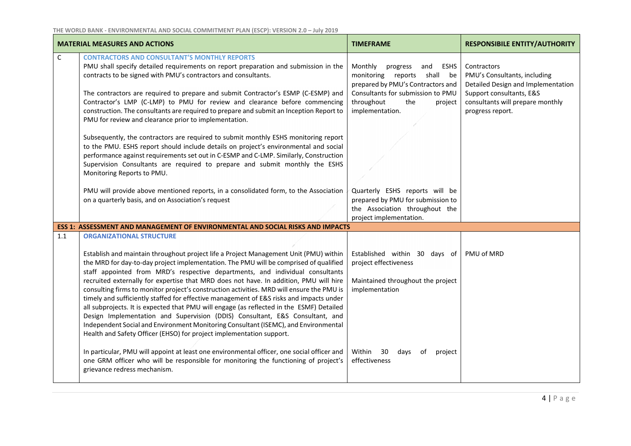|              | <b>MATERIAL MEASURES AND ACTIONS</b>                                                                                                                                                                                                                                                                                                                                                                                                                                                                                                                                                                                                                                                                                                                                                                                | <b>TIMEFRAME</b>                                                                                                                                                                               | <b>RESPONSIBILE ENTITY/AUTHORITY</b>                                                                                                                                  |
|--------------|---------------------------------------------------------------------------------------------------------------------------------------------------------------------------------------------------------------------------------------------------------------------------------------------------------------------------------------------------------------------------------------------------------------------------------------------------------------------------------------------------------------------------------------------------------------------------------------------------------------------------------------------------------------------------------------------------------------------------------------------------------------------------------------------------------------------|------------------------------------------------------------------------------------------------------------------------------------------------------------------------------------------------|-----------------------------------------------------------------------------------------------------------------------------------------------------------------------|
| $\mathsf{C}$ | <b>CONTRACTORS AND CONSULTANT'S MONTHLY REPORTS</b><br>PMU shall specify detailed requirements on report preparation and submission in the<br>contracts to be signed with PMU's contractors and consultants.<br>The contractors are required to prepare and submit Contractor's ESMP (C-ESMP) and<br>Contractor's LMP (C-LMP) to PMU for review and clearance before commencing<br>construction. The consultants are required to prepare and submit an Inception Report to<br>PMU for review and clearance prior to implementation.                                                                                                                                                                                                                                                                                 | Monthly<br>progress<br>and<br>ESHS<br>monitoring reports shall be<br>prepared by PMU's Contractors and<br>Consultants for submission to PMU<br>throughout<br>the<br>project<br>implementation. | Contractors<br>PMU's Consultants, including<br>Detailed Design and Implementation<br>Support consultants, E&S<br>consultants will prepare monthly<br>progress report. |
|              | Subsequently, the contractors are required to submit monthly ESHS monitoring report<br>to the PMU. ESHS report should include details on project's environmental and social<br>performance against requirements set out in C-ESMP and C-LMP. Similarly, Construction<br>Supervision Consultants are required to prepare and submit monthly the ESHS<br>Monitoring Reports to PMU.<br>PMU will provide above mentioned reports, in a consolidated form, to the Association<br>on a quarterly basis, and on Association's request                                                                                                                                                                                                                                                                                     | Quarterly ESHS reports will be<br>prepared by PMU for submission to                                                                                                                            |                                                                                                                                                                       |
|              |                                                                                                                                                                                                                                                                                                                                                                                                                                                                                                                                                                                                                                                                                                                                                                                                                     | the Association throughout the<br>project implementation.                                                                                                                                      |                                                                                                                                                                       |
|              | ESS 1: ASSESSMENT AND MANAGEMENT OF ENVIRONMENTAL AND SOCIAL RISKS AND IMPACTS                                                                                                                                                                                                                                                                                                                                                                                                                                                                                                                                                                                                                                                                                                                                      |                                                                                                                                                                                                |                                                                                                                                                                       |
| 1.1          | <b>ORGANIZATIONAL STRUCTURE</b>                                                                                                                                                                                                                                                                                                                                                                                                                                                                                                                                                                                                                                                                                                                                                                                     |                                                                                                                                                                                                |                                                                                                                                                                       |
|              | Establish and maintain throughout project life a Project Management Unit (PMU) within<br>the MRD for day-to-day project implementation. The PMU will be comprised of qualified<br>staff appointed from MRD's respective departments, and individual consultants<br>recruited externally for expertise that MRD does not have. In addition, PMU will hire<br>consulting firms to monitor project's construction activities. MRD will ensure the PMU is<br>timely and sufficiently staffed for effective management of E&S risks and impacts under<br>all subprojects. It is expected that PMU will engage (as reflected in the ESMF) Detailed<br>Design Implementation and Supervision (DDIS) Consultant, E&S Consultant, and<br>Independent Social and Environment Monitoring Consultant (ISEMC), and Environmental | Established within 30 days of<br>project effectiveness<br>Maintained throughout the project<br>implementation                                                                                  | PMU of MRD                                                                                                                                                            |
|              | Health and Safety Officer (EHSO) for project implementation support.<br>In particular, PMU will appoint at least one environmental officer, one social officer and<br>one GRM officer who will be responsible for monitoring the functioning of project's<br>grievance redress mechanism.                                                                                                                                                                                                                                                                                                                                                                                                                                                                                                                           | Within<br>30<br>days<br>of<br>project<br>effectiveness                                                                                                                                         |                                                                                                                                                                       |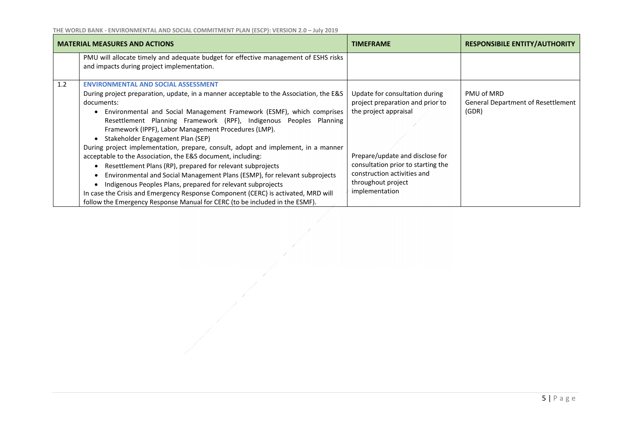|     | <b>MATERIAL MEASURES AND ACTIONS</b>                                                                                                                                                                                                                                                                                                                                                                                                                                                                                                                                                                                                                                                                                                                                                                                                                                                                                                           | <b>TIMEFRAME</b>                                                                                                                                                                                                                            | <b>RESPONSIBILE ENTITY/AUTHORITY</b>                             |
|-----|------------------------------------------------------------------------------------------------------------------------------------------------------------------------------------------------------------------------------------------------------------------------------------------------------------------------------------------------------------------------------------------------------------------------------------------------------------------------------------------------------------------------------------------------------------------------------------------------------------------------------------------------------------------------------------------------------------------------------------------------------------------------------------------------------------------------------------------------------------------------------------------------------------------------------------------------|---------------------------------------------------------------------------------------------------------------------------------------------------------------------------------------------------------------------------------------------|------------------------------------------------------------------|
|     | PMU will allocate timely and adequate budget for effective management of ESHS risks<br>and impacts during project implementation.                                                                                                                                                                                                                                                                                                                                                                                                                                                                                                                                                                                                                                                                                                                                                                                                              |                                                                                                                                                                                                                                             |                                                                  |
| 1.2 | <b>ENVIRONMENTAL AND SOCIAL ASSESSMENT</b><br>During project preparation, update, in a manner acceptable to the Association, the E&S<br>documents:<br>Environmental and Social Management Framework (ESMF), which comprises<br>$\bullet$<br>Resettlement Planning Framework (RPF), Indigenous Peoples Planning<br>Framework (IPPF), Labor Management Procedures (LMP).<br>Stakeholder Engagement Plan (SEP)<br>During project implementation, prepare, consult, adopt and implement, in a manner<br>acceptable to the Association, the E&S document, including:<br>Resettlement Plans (RP), prepared for relevant subprojects<br>Environmental and Social Management Plans (ESMP), for relevant subprojects<br>Indigenous Peoples Plans, prepared for relevant subprojects<br>In case the Crisis and Emergency Response Component (CERC) is activated, MRD will<br>follow the Emergency Response Manual for CERC (to be included in the ESMF). | Update for consultation during<br>project preparation and prior to<br>the project appraisal<br>Prepare/update and disclose for<br>consultation prior to starting the<br>construction activities and<br>throughout project<br>implementation | PMU of MRD<br><b>General Department of Resettlement</b><br>(GDR) |

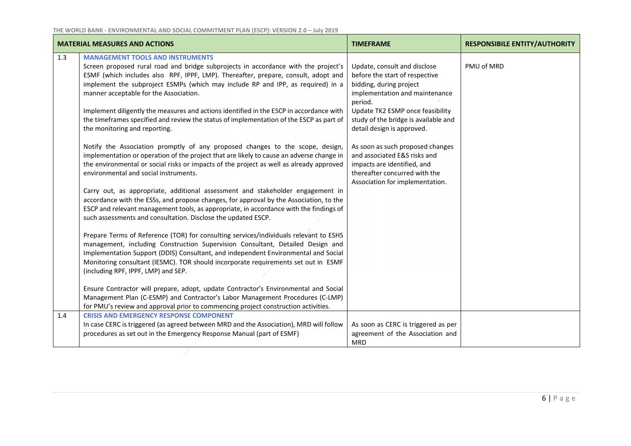|     | <b>MATERIAL MEASURES AND ACTIONS</b>                                                                                                                                                                                                                                                                                                                                                                                                                                                                                                                                                                                                                                                                                                                                                                                                                                                                                                                                                                                                                                                                                                                                                                                                                                                                                                                                                                                                                                                                                                                                                                                                                                                                                                                                                                                                                                                        | <b>TIMEFRAME</b>                                                                                                                                                                                                                                                                                                                                                                                                        | <b>RESPONSIBILE ENTITY/AUTHORITY</b> |
|-----|---------------------------------------------------------------------------------------------------------------------------------------------------------------------------------------------------------------------------------------------------------------------------------------------------------------------------------------------------------------------------------------------------------------------------------------------------------------------------------------------------------------------------------------------------------------------------------------------------------------------------------------------------------------------------------------------------------------------------------------------------------------------------------------------------------------------------------------------------------------------------------------------------------------------------------------------------------------------------------------------------------------------------------------------------------------------------------------------------------------------------------------------------------------------------------------------------------------------------------------------------------------------------------------------------------------------------------------------------------------------------------------------------------------------------------------------------------------------------------------------------------------------------------------------------------------------------------------------------------------------------------------------------------------------------------------------------------------------------------------------------------------------------------------------------------------------------------------------------------------------------------------------|-------------------------------------------------------------------------------------------------------------------------------------------------------------------------------------------------------------------------------------------------------------------------------------------------------------------------------------------------------------------------------------------------------------------------|--------------------------------------|
| 1.3 | <b>MANAGEMENT TOOLS AND INSTRUMENTS</b><br>Screen proposed rural road and bridge subprojects in accordance with the project's<br>ESMF (which includes also RPF, IPPF, LMP). Thereafter, prepare, consult, adopt and<br>implement the subproject ESMPs (which may include RP and IPP, as required) in a<br>manner acceptable for the Association.<br>Implement diligently the measures and actions identified in the ESCP in accordance with<br>the timeframes specified and review the status of implementation of the ESCP as part of<br>the monitoring and reporting.<br>Notify the Association promptly of any proposed changes to the scope, design,<br>implementation or operation of the project that are likely to cause an adverse change in<br>the environmental or social risks or impacts of the project as well as already approved<br>environmental and social instruments.<br>Carry out, as appropriate, additional assessment and stakeholder engagement in<br>accordance with the ESSs, and propose changes, for approval by the Association, to the<br>ESCP and relevant management tools, as appropriate, in accordance with the findings of<br>such assessments and consultation. Disclose the updated ESCP.<br>Prepare Terms of Reference (TOR) for consulting services/individuals relevant to ESHS<br>management, including Construction Supervision Consultant, Detailed Design and<br>Implementation Support (DDIS) Consultant, and independent Environmental and Social<br>Monitoring consultant (IESMC). TOR should incorporate requirements set out in ESMF<br>(including RPF, IPPF, LMP) and SEP.<br>Ensure Contractor will prepare, adopt, update Contractor's Environmental and Social<br>Management Plan (C-ESMP) and Contractor's Labor Management Procedures (C-LMP)<br>for PMU's review and approval prior to commencing project construction activities. | Update, consult and disclose<br>before the start of respective<br>bidding, during project<br>implementation and maintenance<br>period.<br>Update TK2 ESMP once feasibility<br>study of the bridge is available and<br>detail design is approved.<br>As soon as such proposed changes<br>and associated E&S risks and<br>impacts are identified, and<br>thereafter concurred with the<br>Association for implementation. | PMU of MRD                           |
| 1.4 | <b>CRISIS AND EMERGENCY RESPONSE COMPONENT</b><br>In case CERC is triggered (as agreed between MRD and the Association), MRD will follow<br>procedures as set out in the Emergency Response Manual (part of ESMF)                                                                                                                                                                                                                                                                                                                                                                                                                                                                                                                                                                                                                                                                                                                                                                                                                                                                                                                                                                                                                                                                                                                                                                                                                                                                                                                                                                                                                                                                                                                                                                                                                                                                           | As soon as CERC is triggered as per<br>agreement of the Association and                                                                                                                                                                                                                                                                                                                                                 |                                      |
|     |                                                                                                                                                                                                                                                                                                                                                                                                                                                                                                                                                                                                                                                                                                                                                                                                                                                                                                                                                                                                                                                                                                                                                                                                                                                                                                                                                                                                                                                                                                                                                                                                                                                                                                                                                                                                                                                                                             | <b>MRD</b>                                                                                                                                                                                                                                                                                                                                                                                                              |                                      |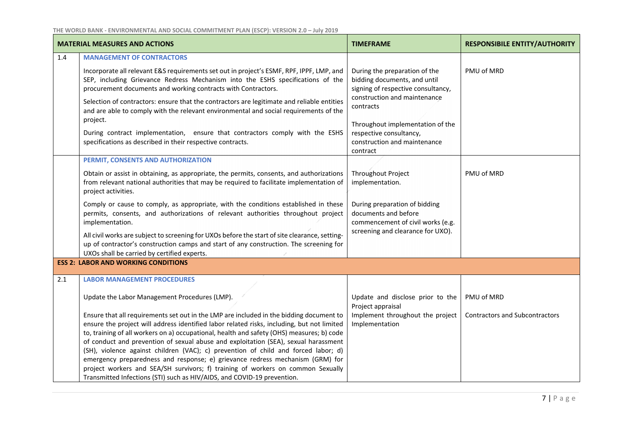|     | <b>MATERIAL MEASURES AND ACTIONS</b>                                                                                                                                                                                                                                                                                                                                                                                                                                                                                                                                                                                                                                                                           | <b>TIMEFRAME</b>                                                                                                                                                                                                                                            | <b>RESPONSIBILE ENTITY/AUTHORITY</b>  |
|-----|----------------------------------------------------------------------------------------------------------------------------------------------------------------------------------------------------------------------------------------------------------------------------------------------------------------------------------------------------------------------------------------------------------------------------------------------------------------------------------------------------------------------------------------------------------------------------------------------------------------------------------------------------------------------------------------------------------------|-------------------------------------------------------------------------------------------------------------------------------------------------------------------------------------------------------------------------------------------------------------|---------------------------------------|
| 1.4 | <b>MANAGEMENT OF CONTRACTORS</b>                                                                                                                                                                                                                                                                                                                                                                                                                                                                                                                                                                                                                                                                               |                                                                                                                                                                                                                                                             |                                       |
|     | Incorporate all relevant E&S requirements set out in project's ESMF, RPF, IPPF, LMP, and<br>SEP, including Grievance Redress Mechanism into the ESHS specifications of the<br>procurement documents and working contracts with Contractors.<br>Selection of contractors: ensure that the contractors are legitimate and reliable entities<br>and are able to comply with the relevant environmental and social requirements of the<br>project.<br>During contract implementation, ensure that contractors comply with the ESHS<br>specifications as described in their respective contracts.                                                                                                                   | During the preparation of the<br>bidding documents, and until<br>signing of respective consultancy,<br>construction and maintenance<br>contracts<br>Throughout implementation of the<br>respective consultancy,<br>construction and maintenance<br>contract | PMU of MRD                            |
|     | PERMIT, CONSENTS AND AUTHORIZATION                                                                                                                                                                                                                                                                                                                                                                                                                                                                                                                                                                                                                                                                             |                                                                                                                                                                                                                                                             |                                       |
|     | Obtain or assist in obtaining, as appropriate, the permits, consents, and authorizations<br>from relevant national authorities that may be required to facilitate implementation of<br>project activities.                                                                                                                                                                                                                                                                                                                                                                                                                                                                                                     | Throughout Project<br>implementation.                                                                                                                                                                                                                       | PMU of MRD                            |
|     | Comply or cause to comply, as appropriate, with the conditions established in these<br>permits, consents, and authorizations of relevant authorities throughout project<br>implementation.                                                                                                                                                                                                                                                                                                                                                                                                                                                                                                                     | During preparation of bidding<br>documents and before<br>commencement of civil works (e.g.                                                                                                                                                                  |                                       |
|     | All civil works are subject to screening for UXOs before the start of site clearance, setting-<br>up of contractor's construction camps and start of any construction. The screening for<br>UXOs shall be carried by certified experts.                                                                                                                                                                                                                                                                                                                                                                                                                                                                        | screening and clearance for UXO).                                                                                                                                                                                                                           |                                       |
|     | <b>ESS 2: LABOR AND WORKING CONDITIONS</b>                                                                                                                                                                                                                                                                                                                                                                                                                                                                                                                                                                                                                                                                     |                                                                                                                                                                                                                                                             |                                       |
| 2.1 | <b>LABOR MANAGEMENT PROCEDURES</b>                                                                                                                                                                                                                                                                                                                                                                                                                                                                                                                                                                                                                                                                             |                                                                                                                                                                                                                                                             |                                       |
|     | Update the Labor Management Procedures (LMP).                                                                                                                                                                                                                                                                                                                                                                                                                                                                                                                                                                                                                                                                  | Update and disclose prior to the<br>Project appraisal                                                                                                                                                                                                       | PMU of MRD                            |
|     | Ensure that all requirements set out in the LMP are included in the bidding document to<br>ensure the project will address identified labor related risks, including, but not limited<br>to, training of all workers on a) occupational, health and safety (OHS) measures; b) code<br>of conduct and prevention of sexual abuse and exploitation (SEA), sexual harassment<br>(SH), violence against children (VAC); c) prevention of child and forced labor; d)<br>emergency preparedness and response; e) grievance redress mechanism (GRM) for<br>project workers and SEA/SH survivors; f) training of workers on common Sexually<br>Transmitted Infections (STI) such as HIV/AIDS, and COVID-19 prevention. | Implement throughout the project<br>Implementation                                                                                                                                                                                                          | <b>Contractors and Subcontractors</b> |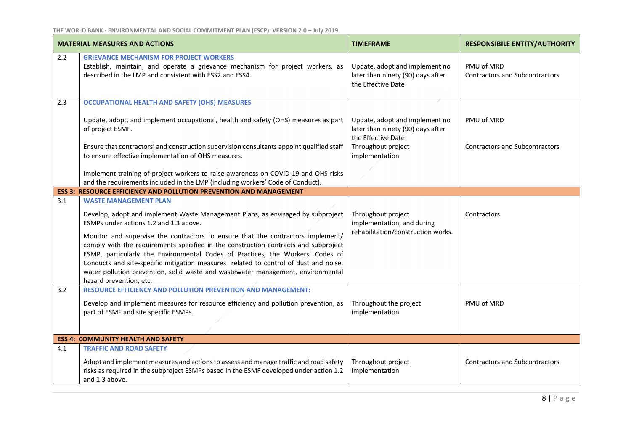|     | <b>MATERIAL MEASURES AND ACTIONS</b>                                                                                                                                                                                                                                                                                                                                                                                                                                                                                                                                                                                         | <b>TIMEFRAME</b>                                                                                                                  | <b>RESPONSIBILE ENTITY/AUTHORITY</b>                |
|-----|------------------------------------------------------------------------------------------------------------------------------------------------------------------------------------------------------------------------------------------------------------------------------------------------------------------------------------------------------------------------------------------------------------------------------------------------------------------------------------------------------------------------------------------------------------------------------------------------------------------------------|-----------------------------------------------------------------------------------------------------------------------------------|-----------------------------------------------------|
| 2.2 | <b>GRIEVANCE MECHANISM FOR PROJECT WORKERS</b><br>Establish, maintain, and operate a grievance mechanism for project workers, as<br>described in the LMP and consistent with ESS2 and ESS4.                                                                                                                                                                                                                                                                                                                                                                                                                                  | Update, adopt and implement no<br>later than ninety (90) days after<br>the Effective Date                                         | PMU of MRD<br><b>Contractors and Subcontractors</b> |
| 2.3 | <b>OCCUPATIONAL HEALTH AND SAFETY (OHS) MEASURES</b><br>Update, adopt, and implement occupational, health and safety (OHS) measures as part<br>of project ESMF.<br>Ensure that contractors' and construction supervision consultants appoint qualified staff<br>to ensure effective implementation of OHS measures.<br>Implement training of project workers to raise awareness on COVID-19 and OHS risks<br>and the requirements included in the LMP (including workers' Code of Conduct).                                                                                                                                  | Update, adopt and implement no<br>later than ninety (90) days after<br>the Effective Date<br>Throughout project<br>implementation | PMU of MRD<br><b>Contractors and Subcontractors</b> |
|     | <b>ESS 3: RESOURCE EFFICIENCY AND POLLUTION PREVENTION AND MANAGEMENT</b>                                                                                                                                                                                                                                                                                                                                                                                                                                                                                                                                                    |                                                                                                                                   |                                                     |
| 3.1 | <b>WASTE MANAGEMENT PLAN</b><br>Develop, adopt and implement Waste Management Plans, as envisaged by subproject<br>ESMPs under actions 1.2 and 1.3 above.<br>Monitor and supervise the contractors to ensure that the contractors implement/<br>comply with the requirements specified in the construction contracts and subproject<br>ESMP, particularly the Environmental Codes of Practices, the Workers' Codes of<br>Conducts and site-specific mitigation measures related to control of dust and noise,<br>water pollution prevention, solid waste and wastewater management, environmental<br>hazard prevention, etc. | Throughout project<br>implementation, and during<br>rehabilitation/construction works.                                            | Contractors                                         |
| 3.2 | <b>RESOURCE EFFICIENCY AND POLLUTION PREVENTION AND MANAGEMENT:</b><br>Develop and implement measures for resource efficiency and pollution prevention, as<br>part of ESMF and site specific ESMPs.                                                                                                                                                                                                                                                                                                                                                                                                                          | Throughout the project<br>implementation.                                                                                         | PMU of MRD                                          |
|     | <b>ESS 4: COMMUNITY HEALTH AND SAFETY</b>                                                                                                                                                                                                                                                                                                                                                                                                                                                                                                                                                                                    |                                                                                                                                   |                                                     |
| 4.1 | <b>TRAFFIC AND ROAD SAFETY</b><br>Adopt and implement measures and actions to assess and manage traffic and road safety<br>risks as required in the subproject ESMPs based in the ESMF developed under action 1.2<br>and 1.3 above.                                                                                                                                                                                                                                                                                                                                                                                          | Throughout project<br>implementation                                                                                              | <b>Contractors and Subcontractors</b>               |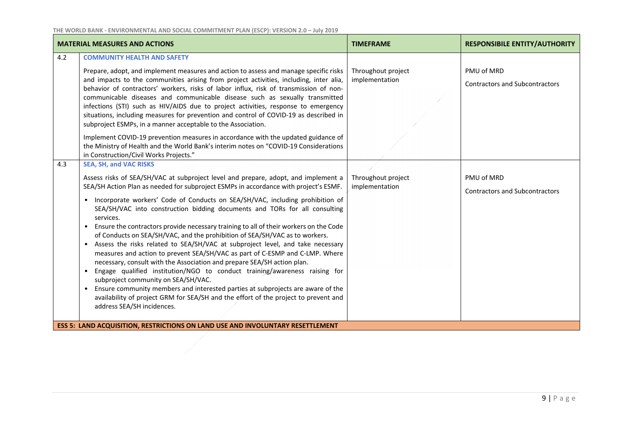|            | <b>MATERIAL MEASURES AND ACTIONS</b>                                                                                                                                                                                                                                                                                                                                                                                                                                                                                                                                                                                                                                                                                                                                                                                                                                                                                                                                                                                                                                                                                                                                                                                                                             | <b>TIMEFRAME</b>                     | <b>RESPONSIBILE ENTITY/AUTHORITY</b>                |  |  |
|------------|------------------------------------------------------------------------------------------------------------------------------------------------------------------------------------------------------------------------------------------------------------------------------------------------------------------------------------------------------------------------------------------------------------------------------------------------------------------------------------------------------------------------------------------------------------------------------------------------------------------------------------------------------------------------------------------------------------------------------------------------------------------------------------------------------------------------------------------------------------------------------------------------------------------------------------------------------------------------------------------------------------------------------------------------------------------------------------------------------------------------------------------------------------------------------------------------------------------------------------------------------------------|--------------------------------------|-----------------------------------------------------|--|--|
| 4.2<br>4.3 | <b>COMMUNITY HEALTH AND SAFETY</b><br>Prepare, adopt, and implement measures and action to assess and manage specific risks<br>and impacts to the communities arising from project activities, including, inter alia,<br>behavior of contractors' workers, risks of labor influx, risk of transmission of non-<br>communicable diseases and communicable disease such as sexually transmitted<br>infections (STI) such as HIV/AIDS due to project activities, response to emergency<br>situations, including measures for prevention and control of COVID-19 as described in<br>subproject ESMPs, in a manner acceptable to the Association.<br>Implement COVID-19 prevention measures in accordance with the updated guidance of<br>the Ministry of Health and the World Bank's interim notes on "COVID-19 Considerations<br>in Construction/Civil Works Projects."                                                                                                                                                                                                                                                                                                                                                                                             | Throughout project<br>implementation | PMU of MRD<br><b>Contractors and Subcontractors</b> |  |  |
|            | <b>SEA, SH, and VAC RISKS</b><br>Assess risks of SEA/SH/VAC at subproject level and prepare, adopt, and implement a<br>SEA/SH Action Plan as needed for subproject ESMPs in accordance with project's ESMF.<br>• Incorporate workers' Code of Conducts on SEA/SH/VAC, including prohibition of<br>SEA/SH/VAC into construction bidding documents and TORs for all consulting<br>services.<br>Ensure the contractors provide necessary training to all of their workers on the Code<br>$\bullet$<br>of Conducts on SEA/SH/VAC, and the prohibition of SEA/SH/VAC as to workers.<br>• Assess the risks related to SEA/SH/VAC at subproject level, and take necessary<br>measures and action to prevent SEA/SH/VAC as part of C-ESMP and C-LMP. Where<br>necessary, consult with the Association and prepare SEA/SH action plan.<br>Engage qualified institution/NGO to conduct training/awareness raising for<br>$\bullet$<br>subproject community on SEA/SH/VAC.<br>Ensure community members and interested parties at subprojects are aware of the<br>availability of project GRM for SEA/SH and the effort of the project to prevent and<br>address SEA/SH incidences.<br><b>ESS 5: LAND ACQUISITION, RESTRICTIONS ON LAND USE AND INVOLUNTARY RESETTLEMENT</b> | Throughout project<br>implementation | PMU of MRD<br><b>Contractors and Subcontractors</b> |  |  |
|            |                                                                                                                                                                                                                                                                                                                                                                                                                                                                                                                                                                                                                                                                                                                                                                                                                                                                                                                                                                                                                                                                                                                                                                                                                                                                  |                                      |                                                     |  |  |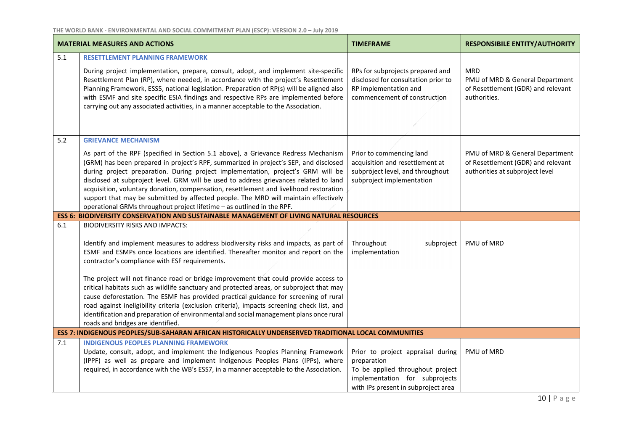|     | <b>MATERIAL MEASURES AND ACTIONS</b>                                                                                                                                                                                                                                                                                                                                                                                                                                                                                                                                                                               | <b>TIMEFRAME</b>                                                                                                                                              | <b>RESPONSIBILE ENTITY/AUTHORITY</b>                                                                     |
|-----|--------------------------------------------------------------------------------------------------------------------------------------------------------------------------------------------------------------------------------------------------------------------------------------------------------------------------------------------------------------------------------------------------------------------------------------------------------------------------------------------------------------------------------------------------------------------------------------------------------------------|---------------------------------------------------------------------------------------------------------------------------------------------------------------|----------------------------------------------------------------------------------------------------------|
| 5.1 | <b>RESETTLEMENT PLANNING FRAMEWORK</b>                                                                                                                                                                                                                                                                                                                                                                                                                                                                                                                                                                             |                                                                                                                                                               |                                                                                                          |
|     | During project implementation, prepare, consult, adopt, and implement site-specific<br>Resettlement Plan (RP), where needed, in accordance with the project's Resettlement<br>Planning Framework, ESS5, national legislation. Preparation of RP(s) will be aligned also<br>with ESMF and site specific ESIA findings and respective RPs are implemented before<br>carrying out any associated activities, in a manner acceptable to the Association.                                                                                                                                                               | RPs for subprojects prepared and<br>disclosed for consultation prior to<br>RP implementation and<br>commencement of construction                              | <b>MRD</b><br>PMU of MRD & General Department<br>of Resettlement (GDR) and relevant<br>authorities.      |
| 5.2 | <b>GRIEVANCE MECHANISM</b>                                                                                                                                                                                                                                                                                                                                                                                                                                                                                                                                                                                         |                                                                                                                                                               |                                                                                                          |
|     | As part of the RPF (specified in Section 5.1 above), a Grievance Redress Mechanism<br>(GRM) has been prepared in project's RPF, summarized in project's SEP, and disclosed<br>during project preparation. During project implementation, project's GRM will be<br>disclosed at subproject level. GRM will be used to address grievances related to land<br>acquisition, voluntary donation, compensation, resettlement and livelihood restoration<br>support that may be submitted by affected people. The MRD will maintain effectively<br>operational GRMs throughout project lifetime - as outlined in the RPF. | Prior to commencing land<br>acquisition and resettlement at<br>subproject level, and throughout<br>subproject implementation                                  | PMU of MRD & General Department<br>of Resettlement (GDR) and relevant<br>authorities at subproject level |
|     | <b>ESS 6: BIODIVERSITY CONSERVATION AND SUSTAINABLE MANAGEMENT OF LIVING NATURAL RESOURCES</b>                                                                                                                                                                                                                                                                                                                                                                                                                                                                                                                     |                                                                                                                                                               |                                                                                                          |
| 6.1 | <b>BIODIVERSITY RISKS AND IMPACTS:</b><br>Identify and implement measures to address biodiversity risks and impacts, as part of<br>ESMF and ESMPs once locations are identified. Thereafter monitor and report on the<br>contractor's compliance with ESF requirements.                                                                                                                                                                                                                                                                                                                                            | Throughout<br>subproject<br>implementation                                                                                                                    | PMU of MRD                                                                                               |
|     | The project will not finance road or bridge improvement that could provide access to<br>critical habitats such as wildlife sanctuary and protected areas, or subproject that may<br>cause deforestation. The ESMF has provided practical guidance for screening of rural<br>road against ineligibility criteria (exclusion criteria), impacts screening check list, and<br>identification and preparation of environmental and social management plans once rural<br>roads and bridges are identified.                                                                                                             |                                                                                                                                                               |                                                                                                          |
|     | ESS 7: INDIGENOUS PEOPLES/SUB-SAHARAN AFRICAN HISTORICALLY UNDERSERVED TRADITIONAL LOCAL COMMUNITIES                                                                                                                                                                                                                                                                                                                                                                                                                                                                                                               |                                                                                                                                                               |                                                                                                          |
| 7.1 | <b>INDIGENOUS PEOPLES PLANNING FRAMEWORK</b><br>Update, consult, adopt, and implement the Indigenous Peoples Planning Framework<br>(IPPF) as well as prepare and implement Indigenous Peoples Plans (IPPs), where<br>required, in accordance with the WB's ESS7, in a manner acceptable to the Association.                                                                                                                                                                                                                                                                                                        | Prior to project appraisal during<br>preparation<br>To be applied throughout project<br>implementation for subprojects<br>with IPs present in subproject area | PMU of MRD                                                                                               |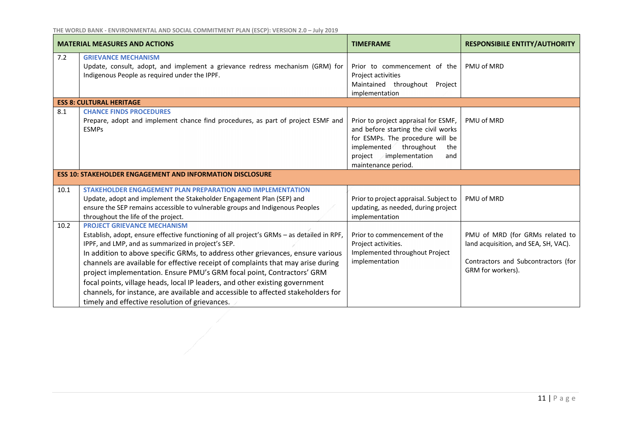|      | <b>MATERIAL MEASURES AND ACTIONS</b>                                                                                                                                                                                                                                                                                                                                                                                                                                                                                                                                                                                                                           | <b>TIMEFRAME</b>                                                                                                                                                                                               | <b>RESPONSIBILE ENTITY/AUTHORITY</b>                                                                                                |
|------|----------------------------------------------------------------------------------------------------------------------------------------------------------------------------------------------------------------------------------------------------------------------------------------------------------------------------------------------------------------------------------------------------------------------------------------------------------------------------------------------------------------------------------------------------------------------------------------------------------------------------------------------------------------|----------------------------------------------------------------------------------------------------------------------------------------------------------------------------------------------------------------|-------------------------------------------------------------------------------------------------------------------------------------|
| 7.2  | <b>GRIEVANCE MECHANISM</b><br>Update, consult, adopt, and implement a grievance redress mechanism (GRM) for<br>Indigenous People as required under the IPPF.                                                                                                                                                                                                                                                                                                                                                                                                                                                                                                   | Prior to commencement of the<br>Project activities<br>Maintained throughout<br>Project<br>implementation                                                                                                       | PMU of MRD                                                                                                                          |
|      | <b>ESS 8: CULTURAL HERITAGE</b>                                                                                                                                                                                                                                                                                                                                                                                                                                                                                                                                                                                                                                |                                                                                                                                                                                                                |                                                                                                                                     |
| 8.1  | <b>CHANCE FINDS PROCEDURES</b><br>Prepare, adopt and implement chance find procedures, as part of project ESMF and<br><b>ESMPs</b>                                                                                                                                                                                                                                                                                                                                                                                                                                                                                                                             | Prior to project appraisal for ESMF,<br>and before starting the civil works<br>for ESMPs. The procedure will be<br>implemented<br>throughout<br>the<br>implementation<br>project<br>and<br>maintenance period. | PMU of MRD                                                                                                                          |
|      | <b>ESS 10: STAKEHOLDER ENGAGEMENT AND INFORMATION DISCLOSURE</b>                                                                                                                                                                                                                                                                                                                                                                                                                                                                                                                                                                                               |                                                                                                                                                                                                                |                                                                                                                                     |
| 10.1 | STAKEHOLDER ENGAGEMENT PLAN PREPARATION AND IMPLEMENTATION<br>Update, adopt and implement the Stakeholder Engagement Plan (SEP) and<br>ensure the SEP remains accessible to vulnerable groups and Indigenous Peoples<br>throughout the life of the project.                                                                                                                                                                                                                                                                                                                                                                                                    | Prior to project appraisal. Subject to<br>updating, as needed, during project<br>implementation                                                                                                                | PMU of MRD                                                                                                                          |
| 10.2 | <b>PROJECT GRIEVANCE MECHANISM</b><br>Establish, adopt, ensure effective functioning of all project's GRMs - as detailed in RPF,<br>IPPF, and LMP, and as summarized in project's SEP.<br>In addition to above specific GRMs, to address other grievances, ensure various<br>channels are available for effective receipt of complaints that may arise during<br>project implementation. Ensure PMU's GRM focal point, Contractors' GRM<br>focal points, village heads, local IP leaders, and other existing government<br>channels, for instance, are available and accessible to affected stakeholders for<br>timely and effective resolution of grievances. | Prior to commencement of the<br>Project activities.<br>Implemented throughout Project<br>implementation                                                                                                        | PMU of MRD (for GRMs related to<br>land acquisition, and SEA, SH, VAC).<br>Contractors and Subcontractors (for<br>GRM for workers). |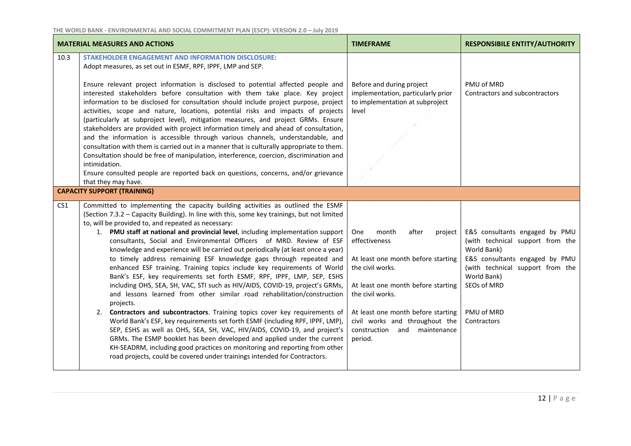|                 | <b>MATERIAL MEASURES AND ACTIONS</b>                                                                                                                                                                                                                                                                                                                                                                                                                                                                                                                                                                                                                                                                                                                                                                                                                                                                                                                                                                                                                                                                                                                                                                                                                                                                                                                                          | <b>TIMEFRAME</b>                                                                                                                                                                                                                                                                                   | <b>RESPONSIBILE ENTITY/AUTHORITY</b>                                                                                                                                                                               |
|-----------------|-------------------------------------------------------------------------------------------------------------------------------------------------------------------------------------------------------------------------------------------------------------------------------------------------------------------------------------------------------------------------------------------------------------------------------------------------------------------------------------------------------------------------------------------------------------------------------------------------------------------------------------------------------------------------------------------------------------------------------------------------------------------------------------------------------------------------------------------------------------------------------------------------------------------------------------------------------------------------------------------------------------------------------------------------------------------------------------------------------------------------------------------------------------------------------------------------------------------------------------------------------------------------------------------------------------------------------------------------------------------------------|----------------------------------------------------------------------------------------------------------------------------------------------------------------------------------------------------------------------------------------------------------------------------------------------------|--------------------------------------------------------------------------------------------------------------------------------------------------------------------------------------------------------------------|
| 10.3            | <b>STAKEHOLDER ENGAGEMENT AND INFORMATION DISCLOSURE:</b><br>Adopt measures, as set out in ESMF, RPF, IPPF, LMP and SEP.                                                                                                                                                                                                                                                                                                                                                                                                                                                                                                                                                                                                                                                                                                                                                                                                                                                                                                                                                                                                                                                                                                                                                                                                                                                      |                                                                                                                                                                                                                                                                                                    |                                                                                                                                                                                                                    |
|                 | Ensure relevant project information is disclosed to potential affected people and<br>interested stakeholders before consultation with them take place. Key project<br>information to be disclosed for consultation should include project purpose, project<br>activities, scope and nature, locations, potential risks and impacts of projects<br>(particularly at subproject level), mitigation measures, and project GRMs. Ensure<br>stakeholders are provided with project information timely and ahead of consultation,<br>and the information is accessible through various channels, understandable, and<br>consultation with them is carried out in a manner that is culturally appropriate to them.<br>Consultation should be free of manipulation, interference, coercion, discrimination and<br>intimidation.<br>Ensure consulted people are reported back on questions, concerns, and/or grievance<br>that they may have.                                                                                                                                                                                                                                                                                                                                                                                                                                          | Before and during project<br>implementation, particularly prior<br>to implementation at subproject<br>level                                                                                                                                                                                        | PMU of MRD<br>Contractors and subcontractors                                                                                                                                                                       |
|                 | <b>CAPACITY SUPPORT (TRAINING)</b>                                                                                                                                                                                                                                                                                                                                                                                                                                                                                                                                                                                                                                                                                                                                                                                                                                                                                                                                                                                                                                                                                                                                                                                                                                                                                                                                            |                                                                                                                                                                                                                                                                                                    |                                                                                                                                                                                                                    |
| CS <sub>1</sub> | Committed to implementing the capacity building activities as outlined the ESMF<br>(Section 7.3.2 - Capacity Building). In line with this, some key trainings, but not limited<br>to, will be provided to, and repeated as necessary:<br>1. PMU staff at national and provincial level, including implementation support<br>consultants, Social and Environmental Officers of MRD. Review of ESF<br>knowledge and experience will be carried out periodically (at least once a year)<br>to timely address remaining ESF knowledge gaps through repeated and<br>enhanced ESF training. Training topics include key requirements of World<br>Bank's ESF, key requirements set forth ESMF, RPF, IPPF, LMP, SEP, ESHS<br>including OHS, SEA, SH, VAC, STI such as HIV/AIDS, COVID-19, project's GRMs,<br>and lessons learned from other similar road rehabilitation/construction<br>projects.<br>2. Contractors and subcontractors. Training topics cover key requirements of<br>World Bank's ESF, key requirements set forth ESMF (including RPF, IPPF, LMP),<br>SEP, ESHS as well as OHS, SEA, SH, VAC, HIV/AIDS, COVID-19, and project's<br>GRMs. The ESMP booklet has been developed and applied under the current<br>KH-SEADRM, including good practices on monitoring and reporting from other<br>road projects, could be covered under trainings intended for Contractors. | <b>One</b><br>month<br>after<br>project<br>effectiveness<br>At least one month before starting<br>the civil works.<br>At least one month before starting<br>the civil works.<br>At least one month before starting<br>civil works and throughout the<br>construction and<br>maintenance<br>period. | E&S consultants engaged by PMU<br>(with technical support from the<br>World Bank)<br>E&S consultants engaged by PMU<br>(with technical support from the<br>World Bank)<br>SEOs of MRD<br>PMU of MRD<br>Contractors |